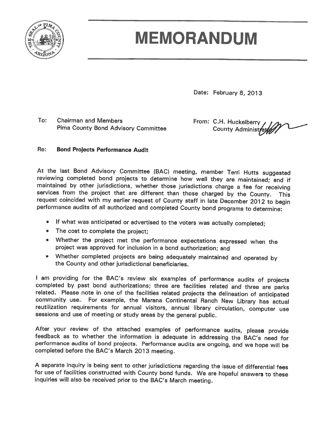

# **MEMORANDUM**

Date: February 8, 2013

 $To:$ **Chairman and Members Pima County Bond Advisory Committee** 

From: C.H. Huckelberry County Administrat

#### Re: **Bond Projects Performance Audit**

At the last Bond Advisory Committee (BAC) meeting, member Terri Hutts suggested reviewing completed bond projects to determine how well they are maintained; and if maintained by other jurisdictions, whether those jurisdictions charge a fee for receiving services from the project that are different than those charged by the County. This request coincided with my earlier request of County staff in late December 2012 to begin performance audits of all authorized and completed County bond programs to determine:

- If what was anticipated or advertised to the voters was actually completed;
- The cost to complete the project;
- Whether the project met the performance expectations expressed when the project was approved for inclusion in a bond authorization; and
- Whether completed projects are being adequately maintained and operated by the County and other jurisdictional beneficiaries.

I am providing for the BAC's review six examples of performance audits of projects completed by past bond authorizations; three are facilities related and three are parks related. Please note in one of the facilities related projects the delineation of anticipated community use. For example, the Marana Continental Ranch New Library has actual reutilization requirements for annual visitors, annual library circulation, computer use sessions and use of meeting or study areas by the general public.

After your review of the attached examples of performance audits, please provide feedback as to whether the information is adequate in addressing the BAC's need for performance audits of bond projects. Performance audits are ongoing, and we hope will be completed before the BAC's March 2013 meeting.

A separate inquiry is being sent to other jurisdictions regarding the issue of differential fees for use of facilities constructed with County bond funds. We are hopeful answers to these inquiries will also be received prior to the BAC's March meeting.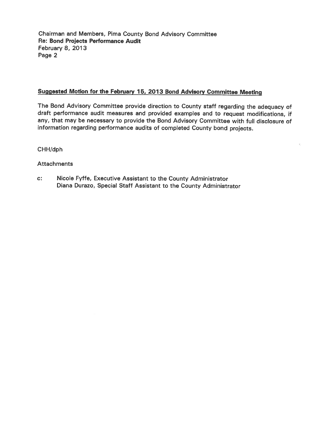Chairman and Members, Pima County Bond Advisory Committee Re: Bond Projects Performance Audit **February 8, 2013** Page 2

#### Suggested Motion for the February 15, 2013 Bond Advisory Committee Meeting

The Bond Advisory Committee provide direction to County staff regarding the adequacy of draft performance audit measures and provided examples and to request modifications, if any, that may be necessary to provide the Bond Advisory Committee with full disclosure of information regarding performance audits of completed County bond projects.

CHH/dph

**Attachments** 

 $C^*$ Nicole Fyffe, Executive Assistant to the County Administrator Diana Durazo, Special Staff Assistant to the County Administrator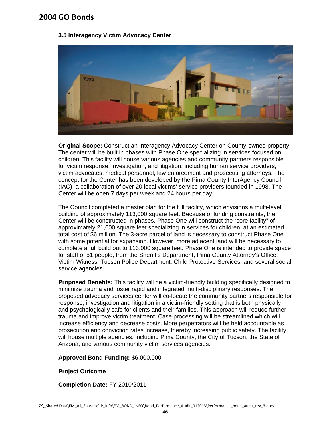#### 3.5 Interagency Victim Advocacy Center



Original Scope: Construct an Interagency Advocacy Center on County-owned property. The center will be built in phases with Phase One specializing in services focused on children. This facility will house various agencies and community partners responsible for victim response, investigation, and litigation, including human service providers, victim advocates, medical personnel, law enforcement and prosecuting attorneys. The concept for the Center has been developed by the Pima County InterAgency Council (IAC), a collaboration of over 20 local victims' service providers founded in 1998. The Center will be open 7 days per week and 24 hours per day.

The Council completed a master plan for the full facility, which envisions a multi-level building of approximately 113,000 square feet. Because of funding constraints, the Center will be constructed in phases. Phase One will construct the "core facility" of approximately 21,000 square feet specializing in services for children, at an estimated total cost of \$6 million. The 3-acre parcel of land is necessary to construct Phase One with some potential for expansion. However, more adiacent land will be necessary to complete a full build out to 113,000 square feet. Phase One is intended to provide space for staff of 51 people, from the Sheriff's Department, Pima County Attorney's Office, Victim Witness, Tucson Police Department, Child Protective Services, and several social service agencies.

Proposed Benefits: This facility will be a victim-friendly building specifically designed to minimize trauma and foster rapid and integrated multi-disciplinary responses. The proposed advocacy services center will co-locate the community partners responsible for response, investigation and litigation in a victim-friendly setting that is both physically and psychologically safe for clients and their families. This approach will reduce further trauma and improve victim treatment. Case processing will be streamlined which will increase efficiency and decrease costs. More perpetrators will be held accountable as prosecution and conviction rates increase, thereby increasing public safety. The facility will house multiple agencies, including Pima County, the City of Tucson, the State of Arizona, and various community victim services agencies.

#### Approved Bond Funding: \$6,000,000

#### **Project Outcome**

#### Completion Date: FY 2010/2011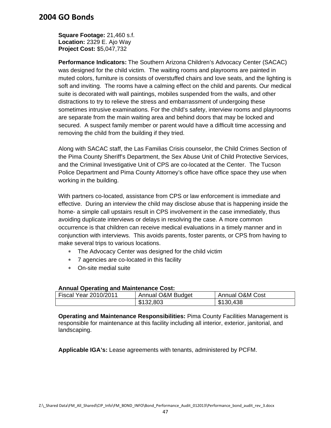**Square Footage:** 21,460 s.f. **Location:** 2329 E. Ajo Way **Project Cost:** \$5,047,732

**Performance Indicators:** The Southern Arizona Children's Advocacy Center (SACAC) was designed for the child victim. The waiting rooms and playrooms are painted in muted colors, furniture is consists of overstuffed chairs and love seats, and the lighting is soft and inviting. The rooms have a calming effect on the child and parents. Our medical suite is decorated with wall paintings, mobiles suspended from the walls, and other distractions to try to relieve the stress and embarrassment of undergoing these sometimes intrusive examinations. For the child's safety, interview rooms and playrooms are separate from the main waiting area and behind doors that may be locked and secured. A suspect family member or parent would have a difficult time accessing and removing the child from the building if they tried.

Along with SACAC staff, the Las Familias Crisis counselor, the Child Crimes Section of the Pima County Sheriff's Department, the Sex Abuse Unit of Child Protective Services, and the Criminal Investigative Unit of CPS are co-located at the Center. The Tucson Police Department and Pima County Attorney's office have office space they use when working in the building.

With partners co-located, assistance from CPS or law enforcement is immediate and effective. During an interview the child may disclose abuse that is happening inside the home- a simple call upstairs result in CPS involvement in the case immediately, thus avoiding duplicate interviews or delays in resolving the case. A more common occurrence is that children can receive medical evaluations in a timely manner and in conjunction with interviews. This avoids parents, foster parents, or CPS from having to make several trips to various locations.

- The Advocacy Center was designed for the child victim
- 7 agencies are co-located in this facility
- On-site medial suite

#### **Annual Operating and Maintenance Cost:**

| <b>Fiscal Year 2010/2011</b> | Annual O&M Budget | <b>Annual O&amp;M Cost</b> |
|------------------------------|-------------------|----------------------------|
|                              | \$132,803         | \$130,438                  |

**Operating and Maintenance Responsibilities:** Pima County Facilities Management is responsible for maintenance at this facility including all interior, exterior, janitorial, and landscaping.

**Applicable IGA's:** Lease agreements with tenants, administered by PCFM.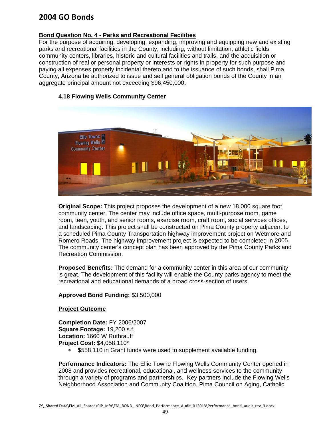#### **Bond Question No. 4 - Parks and Recreational Facilities**

For the purpose of acquiring, developing, expanding, improving and equipping new and existing parks and recreational facilities in the County, including, without limitation, athletic fields, community centers, libraries, historic and cultural facilities and trails, and the acquisition or construction of real or personal property or interests or rights in property for such purpose and paying all expenses properly incidental thereto and to the issuance of such bonds, shall Pima County, Arizona be authorized to issue and sell general obligation bonds of the County in an aggregate principal amount not exceeding \$96,450,000.

#### 4.18 Flowing Wells Community Center



Original Scope: This project proposes the development of a new 18,000 square foot community center. The center may include office space, multi-purpose room, game room, teen, youth, and senior rooms, exercise room, craft room, social services offices, and landscaping. This project shall be constructed on Pima County property adjacent to a scheduled Pima County Transportation highway improvement project on Wetmore and Romero Roads. The highway improvement project is expected to be completed in 2005. The community center's concept plan has been approved by the Pima County Parks and Recreation Commission.

Proposed Benefits: The demand for a community center in this area of our community is great. The development of this facility will enable the County parks agency to meet the recreational and educational demands of a broad cross-section of users.

#### Approved Bond Funding: \$3,500,000

#### **Project Outcome**

Completion Date: FY 2006/2007 Square Footage: 19,200 s.f. Location: 1660 W Ruthrauff Project Cost: \$4,058,110\*

> $\ast$ \$558,110 in Grant funds were used to supplement available funding.

**Performance Indicators:** The Ellie Towne Flowing Wells Community Center opened in 2008 and provides recreational, educational, and wellness services to the community through a variety of programs and partnerships. Key partners include the Flowing Wells Neighborhood Association and Community Coalition, Pima Council on Aging, Catholic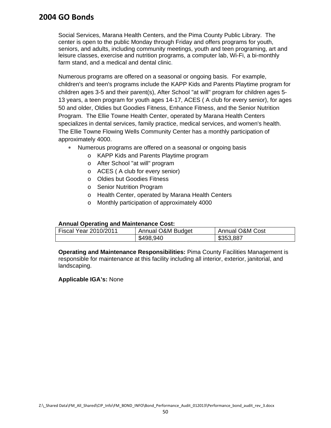Social Services, Marana Health Centers, and the Pima County Public Library. The center is open to the public Monday through Friday and offers programs for youth, seniors, and adults, including community meetings, youth and teen programing, art and leisure classes, exercise and nutrition programs, a computer lab, Wi-Fi, a bi-monthly farm stand, and a medical and dental clinic.

Numerous programs are offered on a seasonal or ongoing basis. For example, children's and teen's programs include the KAPP Kids and Parents Playtime program for children ages 3-5 and their parent(s), After School "at will" program for children ages 5- 13 years, a teen program for youth ages 14-17, ACES ( A club for every senior), for ages 50 and older, Oldies but Goodies Fitness, Enhance Fitness, and the Senior Nutrition Program. The Ellie Towne Health Center, operated by Marana Health Centers specializes in dental services, family practice, medical services, and women's health. The Ellie Towne Flowing Wells Community Center has a monthly participation of approximately 4000.

- Numerous programs are offered on a seasonal or ongoing basis
	- o KAPP Kids and Parents Playtime program
	- o After School "at will" program
	- o ACES ( A club for every senior)
	- o Oldies but Goodies Fitness
	- o Senior Nutrition Program
	- o Health Center, operated by Marana Health Centers
	- o Monthly participation of approximately 4000

#### **Annual Operating and Maintenance Cost:**

| Fiscal Year 2010/2011 | Annual O&M Budget | Annual O&M Cost |
|-----------------------|-------------------|-----------------|
|                       | \$498,940         | \$353,887       |

**Operating and Maintenance Responsibilities:** Pima County Facilities Management is responsible for maintenance at this facility including all interior, exterior, janitorial, and landscaping.

#### **Applicable IGA's:** None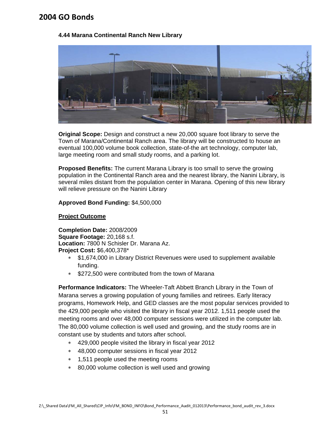#### 4.44 Marana Continental Ranch New Library



Original Scope: Design and construct a new 20,000 square foot library to serve the Town of Marana/Continental Ranch area. The library will be constructed to house an eventual 100,000 volume book collection, state-of-the art technology, computer lab, large meeting room and small study rooms, and a parking lot.

Proposed Benefits: The current Marana Library is too small to serve the growing population in the Continental Ranch area and the nearest library, the Nanini Library, is several miles distant from the population center in Marana. Opening of this new library will relieve pressure on the Nanini Library

Approved Bond Funding: \$4,500,000

#### **Project Outcome**

Completion Date: 2008/2009 Square Footage: 20.168 s.f. Location: 7800 N Schisler Dr. Marana Az. Project Cost: \$6,400,378\*

- \$1,674,000 in Library District Revenues were used to supplement available  $\ast$ fundina.
- \$272,500 were contributed from the town of Marana

Performance Indicators: The Wheeler-Taft Abbett Branch Library in the Town of Marana serves a growing population of young families and retirees. Early literacy programs, Homework Help, and GED classes are the most popular services provided to the 429,000 people who visited the library in fiscal year 2012. 1,511 people used the meeting rooms and over 48,000 computer sessions were utilized in the computer lab. The 80,000 volume collection is well used and growing, and the study rooms are in constant use by students and tutors after school.

- \* 429,000 people visited the library in fiscal year 2012
- \* 48,000 computer sessions in fiscal year 2012
- \* 1,511 people used the meeting rooms
- \* 80,000 volume collection is well used and growing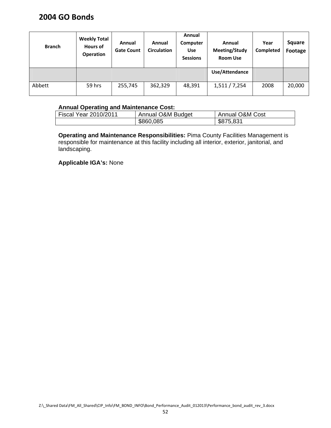| <b>Branch</b> | <b>Weekly Total</b><br>Hours of<br><b>Operation</b> | Annual<br><b>Gate Count</b> | Annual<br><b>Circulation</b> | Annual<br>Computer<br><b>Use</b><br><b>Sessions</b> | Annual<br>Meeting/Study<br><b>Room Use</b> | Year<br>Completed | <b>Square</b><br>Footage |
|---------------|-----------------------------------------------------|-----------------------------|------------------------------|-----------------------------------------------------|--------------------------------------------|-------------------|--------------------------|
|               |                                                     |                             |                              |                                                     | Use/Attendance                             |                   |                          |
| Abbett        | 59 hrs                                              | 255,745                     | 362,329                      | 48,391                                              | 1,511/7,254                                | 2008              | 20,000                   |

### **Annual Operating and Maintenance Cost:**

| Fiscal Year 2010/2011 | Annual O&M Budget | <b>Annual O&amp;M Cost</b> |  |
|-----------------------|-------------------|----------------------------|--|
|                       | \$860,085         | \$875,831                  |  |

**Operating and Maintenance Responsibilities:** Pima County Facilities Management is responsible for maintenance at this facility including all interior, exterior, janitorial, and landscaping.

**Applicable IGA's:** None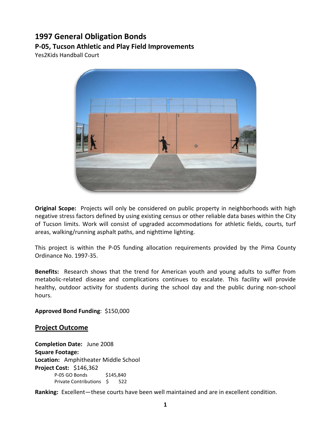## **1997 General Obligation Bonds**

### **P-05, Tucson Athletic and Play Field Improvements**

Yes2Kids Handball Court



**Original Scope:** Projects will only be considered on public property in neighborhoods with high negative stress factors defined by using existing census or other reliable data bases within the City of Tucson limits. Work will consist of upgraded accommodations for athletic fields, courts, turf areas, walking/running asphalt paths, and nighttime lighting.

This project is within the P-05 funding allocation requirements provided by the Pima County Ordinance No. 1997-35.

**Benefits:** Research shows that the trend for American youth and young adults to suffer from metabolic-related disease and complications continues to escalate. This facility will provide healthy, outdoor activity for students during the school day and the public during non-school hours.

**Approved Bond Funding**: \$150,000

#### **Project Outcome**

**Completion Date:** June 2008 **Square Footage: Location:** Amphitheater Middle School **Project Cost:** \$146,362 P-05 GO Bonds \$145,840 Private Contributions \$ 522

**Ranking:** Excellent—these courts have been well maintained and are in excellent condition.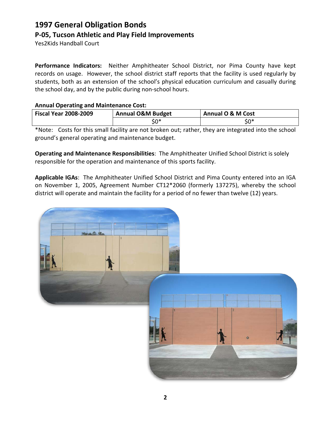## **1997 General Obligation Bonds P-05, Tucson Athletic and Play Field Improvements**

Yes2Kids Handball Court

**Performance Indicators:** Neither Amphitheater School District, nor Pima County have kept records on usage. However, the school district staff reports that the facility is used regularly by students, both as an extension of the school's physical education curriculum and casually during the school day, and by the public during non-school hours.

### **Annual Operating and Maintenance Cost:**

| <b>Fiscal Year 2008-2009</b> | <b>Annual O&amp;M Budget</b> | Annual O & M Cost |
|------------------------------|------------------------------|-------------------|
|                              | \$0*                         | \$0*              |

\*Note: Costs for this small facility are not broken out; rather, they are integrated into the school ground's general operating and maintenance budget.

**Operating and Maintenance Responsibilities**: The Amphitheater Unified School District is solely responsible for the operation and maintenance of this sports facility.

**Applicable IGAs**: The Amphitheater Unified School District and Pima County entered into an IGA on November 1, 2005, Agreement Number CT12\*2060 (formerly 137275), whereby the school district will operate and maintain the facility for a period of no fewer than twelve (12) years.

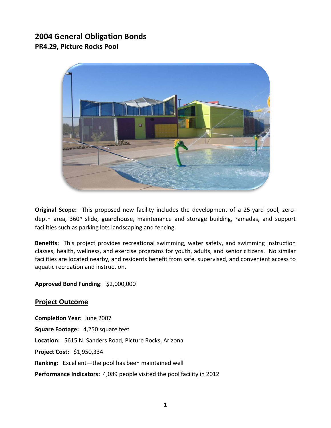## **2004 General Obligation Bonds PR4.29, Picture Rocks Pool**



**Original Scope:** This proposed new facility includes the development of a 25-yard pool, zerodepth area, 360◦ slide, guardhouse, maintenance and storage building, ramadas, and support facilities such as parking lots landscaping and fencing.

**Benefits:** This project provides recreational swimming, water safety, and swimming instruction classes, health, wellness, and exercise programs for youth, adults, and senior citizens. No similar facilities are located nearby, and residents benefit from safe, supervised, and convenient access to aquatic recreation and instruction.

### **Approved Bond Funding**: \$2,000,000

### **Project Outcome**

**Completion Year:** June 2007 **Square Footage:** 4,250 square feet **Location:** 5615 N. Sanders Road, Picture Rocks, Arizona **Project Cost:** \$1,950,334 **Ranking:** Excellent—the pool has been maintained well **Performance Indicators:** 4,089 people visited the pool facility in 2012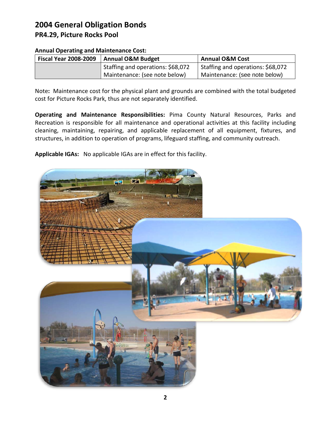## **2004 General Obligation Bonds PR4.29, Picture Rocks Pool**

| Annual Operating and Mannerhance Cost. |                                   |                                   |  |
|----------------------------------------|-----------------------------------|-----------------------------------|--|
| <b>Fiscal Year 2008-2009</b>           | <b>Annual O&amp;M Budget</b>      | <b>Annual O&amp;M Cost</b>        |  |
|                                        | Staffing and operations: \$68,072 | Staffing and operations: \$68,072 |  |
|                                        | Maintenance: (see note below)     | Maintenance: (see note below)     |  |

#### **Annual Operating and Maintenance Cost:**

Note**:** Maintenance cost for the physical plant and grounds are combined with the total budgeted cost for Picture Rocks Park, thus are not separately identified.

**Operating and Maintenance Responsibilities:** Pima County Natural Resources, Parks and Recreation is responsible for all maintenance and operational activities at this facility including cleaning, maintaining, repairing, and applicable replacement of all equipment, fixtures, and structures, in addition to operation of programs, lifeguard staffing, and community outreach.

**Applicable IGAs:** No applicable IGAs are in effect for this facility.

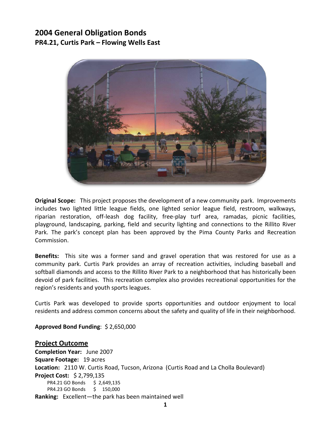## **2004 General Obligation Bonds PR4.21, Curtis Park – Flowing Wells East**



**Original Scope:** This project proposes the development of a new community park. Improvements includes two lighted little league fields, one lighted senior league field, restroom, walkways, riparian restoration, off-leash dog facility, free-play turf area, ramadas, picnic facilities, playground, landscaping, parking, field and security lighting and connections to the Rillito River Park. The park's concept plan has been approved by the Pima County Parks and Recreation Commission.

**Benefits:** This site was a former sand and gravel operation that was restored for use as a community park. Curtis Park provides an array of recreation activities, including baseball and softball diamonds and access to the Rillito River Park to a neighborhood that has historically been devoid of park facilities. This recreation complex also provides recreational opportunities for the region's residents and youth sports leagues.

Curtis Park was developed to provide sports opportunities and outdoor enjoyment to local residents and address common concerns about the safety and quality of life in their neighborhood.

**Approved Bond Funding**: \$ 2,650,000

**Project Outcome Completion Year:** June 2007 **Square Footage:** 19 acres **Location:** 2110 W. Curtis Road, Tucson, Arizona (Curtis Road and La Cholla Boulevard) **Project Cost:** \$ 2,799,135 PR4.21 GO Bonds \$ 2,649,135 PR4.23 GO Bonds \$ 150,000 **Ranking:** Excellent—the park has been maintained well